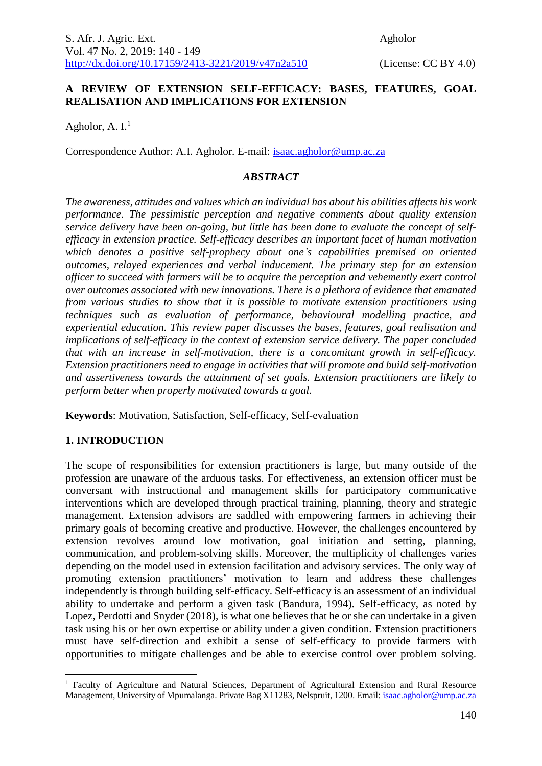# **A REVIEW OF EXTENSION SELF-EFFICACY: BASES, FEATURES, GOAL REALISATION AND IMPLICATIONS FOR EXTENSION**

Agholor, A.  $I<sup>1</sup>$ 

Correspondence Author: A.I. Agholor. E-mail: [isaac.agholor@ump.ac.za](mailto:isaac.agholor@ump.ac.za)

### *ABSTRACT*

*The awareness, attitudes and values which an individual has about his abilities affects his work performance. The pessimistic perception and negative comments about quality extension service delivery have been on-going, but little has been done to evaluate the concept of selfefficacy in extension practice. Self-efficacy describes an important facet of human motivation*  which denotes a positive self-prophecy about one's capabilities premised on oriented *outcomes, relayed experiences and verbal inducement. The primary step for an extension officer to succeed with farmers will be to acquire the perception and vehemently exert control over outcomes associated with new innovations. There is a plethora of evidence that emanated from various studies to show that it is possible to motivate extension practitioners using techniques such as evaluation of performance, behavioural modelling practice, and experiential education. This review paper discusses the bases, features, goal realisation and implications of self-efficacy in the context of extension service delivery. The paper concluded that with an increase in self-motivation, there is a concomitant growth in self-efficacy. Extension practitioners need to engage in activities that will promote and build self-motivation and assertiveness towards the attainment of set goals. Extension practitioners are likely to perform better when properly motivated towards a goal.* 

**Keywords**: Motivation, Satisfaction, Self-efficacy, Self-evaluation

# **1. INTRODUCTION**

1

The scope of responsibilities for extension practitioners is large, but many outside of the profession are unaware of the arduous tasks. For effectiveness, an extension officer must be conversant with instructional and management skills for participatory communicative interventions which are developed through practical training, planning, theory and strategic management. Extension advisors are saddled with empowering farmers in achieving their primary goals of becoming creative and productive. However, the challenges encountered by extension revolves around low motivation, goal initiation and setting, planning, communication, and problem-solving skills. Moreover, the multiplicity of challenges varies depending on the model used in extension facilitation and advisory services. The only way of promoting extension practitioners' motivation to learn and address these challenges independently is through building self-efficacy. Self-efficacy is an assessment of an individual ability to undertake and perform a given task (Bandura, 1994). Self-efficacy, as noted by Lopez, Perdotti and Snyder (2018), is what one believes that he or she can undertake in a given task using his or her own expertise or ability under a given condition. Extension practitioners must have self-direction and exhibit a sense of self-efficacy to provide farmers with opportunities to mitigate challenges and be able to exercise control over problem solving.

<sup>&</sup>lt;sup>1</sup> Faculty of Agriculture and Natural Sciences, Department of Agricultural Extension and Rural Resource Management, University of Mpumalanga. Private Bag X11283, Nelspruit, 1200. Email: *isaac.agholor@ump.ac.za*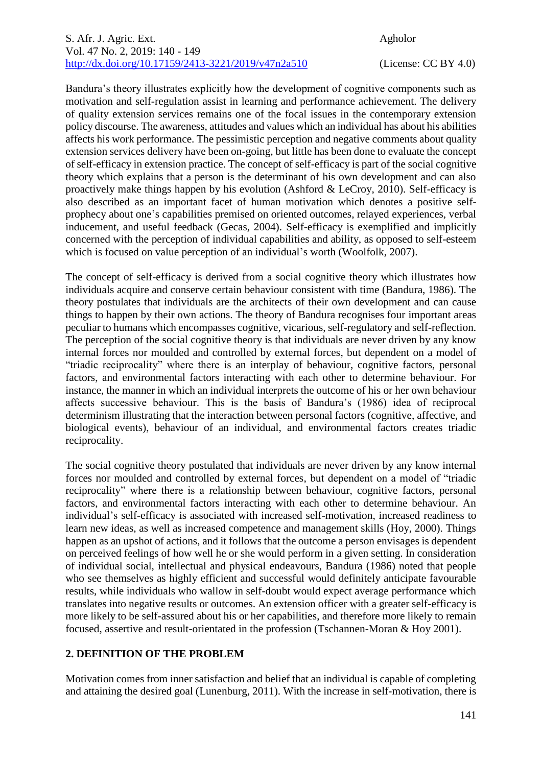Bandura's theory illustrates explicitly how the development of cognitive components such as motivation and self-regulation assist in learning and performance achievement. The delivery of quality extension services remains one of the focal issues in the contemporary extension policy discourse. The awareness, attitudes and values which an individual has about his abilities affects his work performance. The pessimistic perception and negative comments about quality extension services delivery have been on-going, but little has been done to evaluate the concept of self-efficacy in extension practice. The concept of self-efficacy is part of the social cognitive theory which explains that a person is the determinant of his own development and can also proactively make things happen by his evolution (Ashford & LeCroy, 2010). Self-efficacy is also described as an important facet of human motivation which denotes a positive selfprophecy about one's capabilities premised on oriented outcomes, relayed experiences, verbal inducement, and useful feedback (Gecas, 2004). Self-efficacy is exemplified and implicitly concerned with the perception of individual capabilities and ability, as opposed to self-esteem which is focused on value perception of an individual's worth (Woolfolk, 2007).

The concept of self-efficacy is derived from a social cognitive theory which illustrates how individuals acquire and conserve certain behaviour consistent with time (Bandura, 1986). The theory postulates that individuals are the architects of their own development and can cause things to happen by their own actions. The theory of Bandura recognises four important areas peculiar to humans which encompasses cognitive, vicarious, self-regulatory and self-reflection. The perception of the social cognitive theory is that individuals are never driven by any know internal forces nor moulded and controlled by external forces, but dependent on a model of "triadic reciprocality" where there is an interplay of behaviour, cognitive factors, personal factors, and environmental factors interacting with each other to determine behaviour. For instance, the manner in which an individual interprets the outcome of his or her own behaviour affects successive behaviour. This is the basis of Bandura's (1986) idea of reciprocal determinism illustrating that the interaction between personal factors (cognitive, affective, and biological events), behaviour of an individual, and environmental factors creates triadic reciprocality.

The social cognitive theory postulated that individuals are never driven by any know internal forces nor moulded and controlled by external forces, but dependent on a model of "triadic reciprocality" where there is a relationship between behaviour, cognitive factors, personal factors, and environmental factors interacting with each other to determine behaviour. An individual's self-efficacy is associated with increased self-motivation, increased readiness to learn new ideas, as well as increased competence and management skills (Hoy, 2000). Things happen as an upshot of actions, and it follows that the outcome a person envisages is dependent on perceived feelings of how well he or she would perform in a given setting. In consideration of individual social, intellectual and physical endeavours, Bandura (1986) noted that people who see themselves as highly efficient and successful would definitely anticipate favourable results, while individuals who wallow in self-doubt would expect average performance which translates into negative results or outcomes. An extension officer with a greater self-efficacy is more likely to be self-assured about his or her capabilities, and therefore more likely to remain focused, assertive and result-orientated in the profession (Tschannen-Moran & Hoy 2001).

# **2. DEFINITION OF THE PROBLEM**

Motivation comes from inner satisfaction and belief that an individual is capable of completing and attaining the desired goal (Lunenburg, 2011). With the increase in self-motivation, there is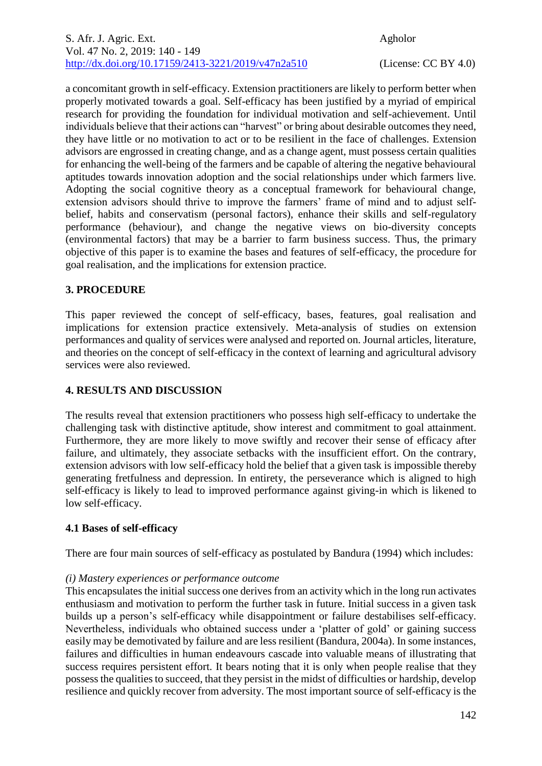a concomitant growth in self-efficacy. Extension practitioners are likely to perform better when properly motivated towards a goal. Self-efficacy has been justified by a myriad of empirical research for providing the foundation for individual motivation and self-achievement. Until individuals believe that their actions can "harvest" or bring about desirable outcomes they need, they have little or no motivation to act or to be resilient in the face of challenges. Extension advisors are engrossed in creating change, and as a change agent, must possess certain qualities for enhancing the well-being of the farmers and be capable of altering the negative behavioural aptitudes towards innovation adoption and the social relationships under which farmers live. Adopting the social cognitive theory as a conceptual framework for behavioural change, extension advisors should thrive to improve the farmers' frame of mind and to adjust selfbelief, habits and conservatism (personal factors), enhance their skills and self-regulatory performance (behaviour), and change the negative views on bio-diversity concepts (environmental factors) that may be a barrier to farm business success. Thus, the primary objective of this paper is to examine the bases and features of self-efficacy, the procedure for goal realisation, and the implications for extension practice.

# **3. PROCEDURE**

This paper reviewed the concept of self-efficacy, bases, features, goal realisation and implications for extension practice extensively. Meta-analysis of studies on extension performances and quality of services were analysed and reported on. Journal articles, literature, and theories on the concept of self-efficacy in the context of learning and agricultural advisory services were also reviewed.

# **4. RESULTS AND DISCUSSION**

The results reveal that extension practitioners who possess high self-efficacy to undertake the challenging task with distinctive aptitude, show interest and commitment to goal attainment. Furthermore, they are more likely to move swiftly and recover their sense of efficacy after failure, and ultimately, they associate setbacks with the insufficient effort. On the contrary, extension advisors with low self-efficacy hold the belief that a given task is impossible thereby generating fretfulness and depression. In entirety, the perseverance which is aligned to high self-efficacy is likely to lead to improved performance against giving-in which is likened to low self-efficacy.

# **4.1 Bases of self-efficacy**

There are four main sources of self-efficacy as postulated by Bandura (1994) which includes:

#### *(i) Mastery experiences or performance outcome*

This encapsulates the initial success one derives from an activity which in the long run activates enthusiasm and motivation to perform the further task in future. Initial success in a given task builds up a person's self-efficacy while disappointment or failure destabilises self-efficacy. Nevertheless, individuals who obtained success under a 'platter of gold' or gaining success easily may be demotivated by failure and are less resilient (Bandura, 2004a). In some instances, failures and difficulties in human endeavours cascade into valuable means of illustrating that success requires persistent effort. It bears noting that it is only when people realise that they possess the qualities to succeed, that they persist in the midst of difficulties or hardship, develop resilience and quickly recover from adversity. The most important source of self-efficacy is the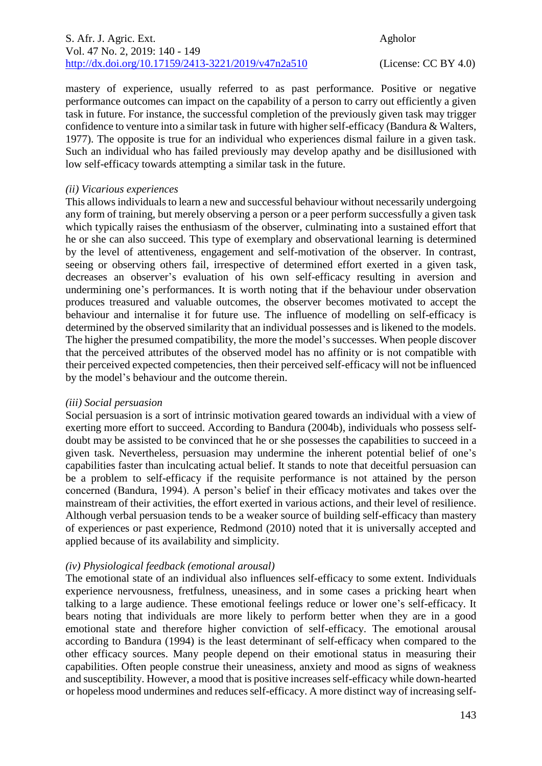### S. Afr. J. Agric. Ext. Agholor Vol. 47 No. 2, 2019: 140 - 149 [http://dx.doi.org/10.17159/2413-3221/2019/v47n2a5](https://urldefense.proofpoint.com/v2/url?u=http-3A__dx.doi.org_10.17159_2413-2D3221_2019_v47n1a485&d=DwMFAg&c=vTCSeBKl9YZZHWJzz-zQUQ&r=2O1irMqrdumXAIE9PdSLREhTXj5iyPGEywcz8I6zQwI&m=niwmmhX1mCI8GpeJjK8D7j-v09hQgXHBu3LsS3Opojw&s=98o8gy8B6ly02TS5WoJvLScIQPXENi4ceK3R3c9Iu9c&e=)10 (License: CC BY 4.0)

mastery of experience, usually referred to as past performance. Positive or negative performance outcomes can impact on the capability of a person to carry out efficiently a given task in future. For instance, the successful completion of the previously given task may trigger confidence to venture into a similar task in future with higher self-efficacy (Bandura & Walters, 1977). The opposite is true for an individual who experiences dismal failure in a given task. Such an individual who has failed previously may develop apathy and be disillusioned with low self-efficacy towards attempting a similar task in the future.

### *(ii) Vicarious experiences*

This allows individuals to learn a new and successful behaviour without necessarily undergoing any form of training, but merely observing a person or a peer perform successfully a given task which typically raises the enthusiasm of the observer, culminating into a sustained effort that he or she can also succeed. This type of exemplary and observational learning is determined by the level of attentiveness, engagement and self-motivation of the observer. In contrast, seeing or observing others fail, irrespective of determined effort exerted in a given task, decreases an observer's evaluation of his own self-efficacy resulting in aversion and undermining one's performances. It is worth noting that if the behaviour under observation produces treasured and valuable outcomes, the observer becomes motivated to accept the behaviour and internalise it for future use. The influence of modelling on self-efficacy is determined by the observed similarity that an individual possesses and is likened to the models. The higher the presumed compatibility, the more the model's successes. When people discover that the perceived attributes of the observed model has no affinity or is not compatible with their perceived expected competencies, then their perceived self-efficacy will not be influenced by the model's behaviour and the outcome therein.

#### *(iii) Social persuasion*

Social persuasion is a sort of intrinsic motivation geared towards an individual with a view of exerting more effort to succeed. According to Bandura (2004b), individuals who possess selfdoubt may be assisted to be convinced that he or she possesses the capabilities to succeed in a given task. Nevertheless, persuasion may undermine the inherent potential belief of one's capabilities faster than inculcating actual belief. It stands to note that deceitful persuasion can be a problem to self-efficacy if the requisite performance is not attained by the person concerned (Bandura, 1994). A person's belief in their efficacy motivates and takes over the mainstream of their activities, the effort exerted in various actions, and their level of resilience. Although verbal persuasion tends to be a weaker source of building self-efficacy than mastery of experiences or past experience, Redmond (2010) noted that it is universally accepted and applied because of its availability and simplicity.

# *(iv) Physiological feedback (emotional arousal)*

The emotional state of an individual also influences self-efficacy to some extent. Individuals experience nervousness, fretfulness, uneasiness, and in some cases a pricking heart when talking to a large audience. These emotional feelings reduce or lower one's self-efficacy. It bears noting that individuals are more likely to perform better when they are in a good emotional state and therefore higher conviction of self-efficacy. The emotional arousal according to Bandura (1994) is the least determinant of self-efficacy when compared to the other efficacy sources. Many people depend on their emotional status in measuring their capabilities. Often people construe their uneasiness, anxiety and mood as signs of weakness and susceptibility. However, a mood that is positive increases self-efficacy while down-hearted or hopeless mood undermines and reduces self-efficacy. A more distinct way of increasing self-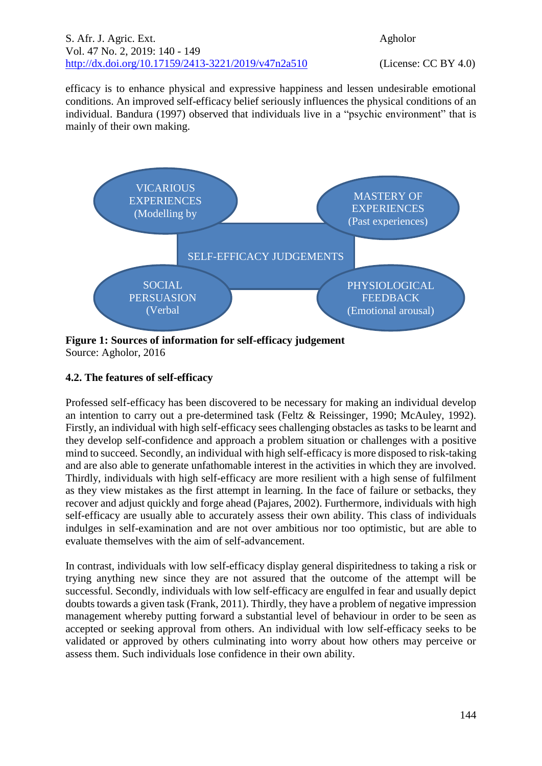efficacy is to enhance physical and expressive happiness and lessen undesirable emotional conditions. An improved self-efficacy belief seriously influences the physical conditions of an individual. Bandura (1997) observed that individuals live in a "psychic environment" that is mainly of their own making.



**Figure 1: Sources of information for self-efficacy judgement** Source: Agholor, 2016

# **4.2. The features of self-efficacy**

Professed self-efficacy has been discovered to be necessary for making an individual develop an intention to carry out a pre-determined task (Feltz & Reissinger, 1990; McAuley, 1992). Firstly, an individual with high self-efficacy sees challenging obstacles as tasks to be learnt and they develop self-confidence and approach a problem situation or challenges with a positive mind to succeed. Secondly, an individual with high self-efficacy is more disposed to risk-taking and are also able to generate unfathomable interest in the activities in which they are involved. Thirdly, individuals with high self-efficacy are more resilient with a high sense of fulfilment as they view mistakes as the first attempt in learning. In the face of failure or setbacks, they recover and adjust quickly and forge ahead (Pajares, 2002). Furthermore, individuals with high self-efficacy are usually able to accurately assess their own ability. This class of individuals indulges in self-examination and are not over ambitious nor too optimistic, but are able to evaluate themselves with the aim of self-advancement.

In contrast, individuals with low self-efficacy display general dispiritedness to taking a risk or trying anything new since they are not assured that the outcome of the attempt will be successful. Secondly, individuals with low self-efficacy are engulfed in fear and usually depict doubts towards a given task (Frank, 2011). Thirdly, they have a problem of negative impression management whereby putting forward a substantial level of behaviour in order to be seen as accepted or seeking approval from others. An individual with low self-efficacy seeks to be validated or approved by others culminating into worry about how others may perceive or assess them. Such individuals lose confidence in their own ability.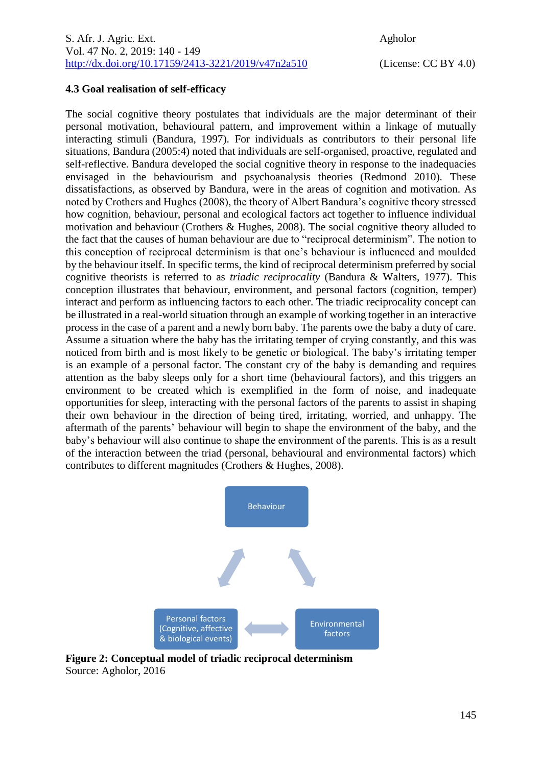### **4.3 Goal realisation of self-efficacy**

The social cognitive theory postulates that individuals are the major determinant of their personal motivation, behavioural pattern, and improvement within a linkage of mutually interacting stimuli (Bandura, 1997). For individuals as contributors to their personal life situations, Bandura (2005:4) noted that individuals are self-organised, proactive, regulated and self-reflective. Bandura developed the social cognitive theory in response to the inadequacies envisaged in the behaviourism and psychoanalysis theories (Redmond 2010). These dissatisfactions, as observed by Bandura, were in the areas of cognition and motivation. As noted by Crothers and Hughes (2008), the theory of Albert Bandura's cognitive theory stressed how cognition, behaviour, personal and ecological factors act together to influence individual motivation and behaviour (Crothers & Hughes, 2008). The social cognitive theory alluded to the fact that the causes of human behaviour are due to "reciprocal determinism". The notion to this conception of reciprocal determinism is that one's behaviour is influenced and moulded by the behaviour itself. In specific terms, the kind of reciprocal determinism preferred by social cognitive theorists is referred to as *triadic reciprocality* (Bandura & Walters, 1977). This conception illustrates that behaviour, environment, and personal factors (cognition, temper) interact and perform as influencing factors to each other. The triadic reciprocality concept can be illustrated in a real-world situation through an example of working together in an interactive process in the case of a parent and a newly born baby. The parents owe the baby a duty of care. Assume a situation where the baby has the irritating temper of crying constantly, and this was noticed from birth and is most likely to be genetic or biological. The baby's irritating temper is an example of a personal factor. The constant cry of the baby is demanding and requires attention as the baby sleeps only for a short time (behavioural factors), and this triggers an environment to be created which is exemplified in the form of noise, and inadequate opportunities for sleep, interacting with the personal factors of the parents to assist in shaping their own behaviour in the direction of being tired, irritating, worried, and unhappy. The aftermath of the parents' behaviour will begin to shape the environment of the baby, and the baby's behaviour will also continue to shape the environment of the parents. This is as a result of the interaction between the triad (personal, behavioural and environmental factors) which contributes to different magnitudes (Crothers & Hughes, 2008).



**Figure 2: Conceptual model of triadic reciprocal determinism** Source: Agholor, 2016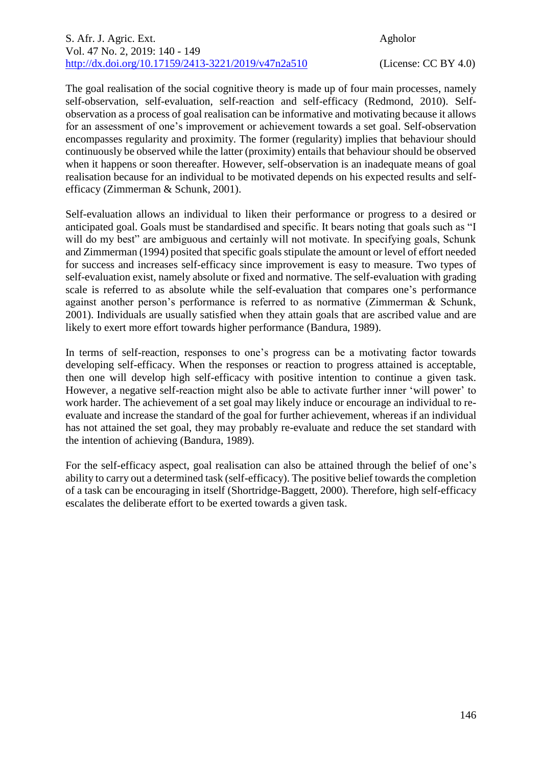The goal realisation of the social cognitive theory is made up of four main processes, namely self-observation, self-evaluation, self-reaction and self-efficacy (Redmond, 2010). Selfobservation as a process of goal realisation can be informative and motivating because it allows for an assessment of one's improvement or achievement towards a set goal. Self-observation encompasses regularity and proximity. The former (regularity) implies that behaviour should continuously be observed while the latter (proximity) entails that behaviour should be observed when it happens or soon thereafter. However, self-observation is an inadequate means of goal realisation because for an individual to be motivated depends on his expected results and selfefficacy (Zimmerman & Schunk, 2001).

Self-evaluation allows an individual to liken their performance or progress to a desired or anticipated goal. Goals must be standardised and specific. It bears noting that goals such as "I will do my best" are ambiguous and certainly will not motivate. In specifying goals, Schunk and Zimmerman (1994) posited that specific goals stipulate the amount or level of effort needed for success and increases self-efficacy since improvement is easy to measure. Two types of self-evaluation exist, namely absolute or fixed and normative. The self-evaluation with grading scale is referred to as absolute while the self-evaluation that compares one's performance against another person's performance is referred to as normative (Zimmerman & Schunk, 2001). Individuals are usually satisfied when they attain goals that are ascribed value and are likely to exert more effort towards higher performance (Bandura, 1989).

In terms of self-reaction, responses to one's progress can be a motivating factor towards developing self-efficacy. When the responses or reaction to progress attained is acceptable, then one will develop high self-efficacy with positive intention to continue a given task. However, a negative self-reaction might also be able to activate further inner 'will power' to work harder. The achievement of a set goal may likely induce or encourage an individual to reevaluate and increase the standard of the goal for further achievement, whereas if an individual has not attained the set goal, they may probably re-evaluate and reduce the set standard with the intention of achieving (Bandura, 1989).

For the self-efficacy aspect, goal realisation can also be attained through the belief of one's ability to carry out a determined task (self-efficacy). The positive belief towards the completion of a task can be encouraging in itself (Shortridge-Baggett, 2000). Therefore, high self-efficacy escalates the deliberate effort to be exerted towards a given task.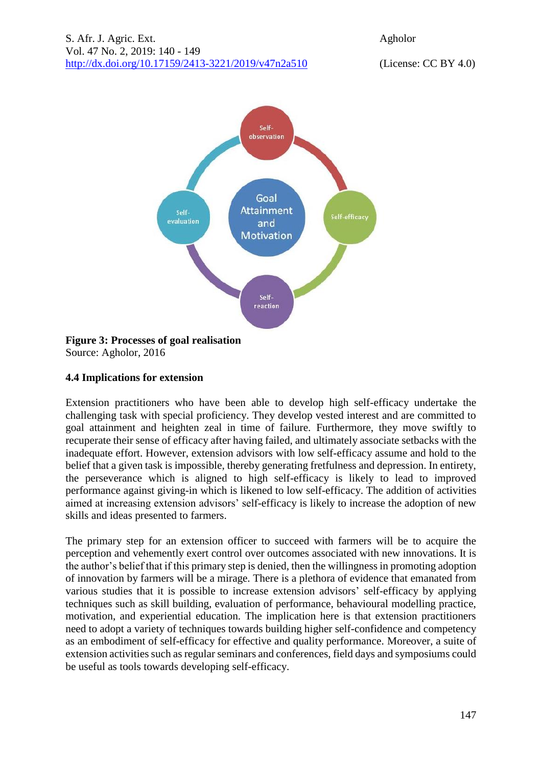

### **Figure 3: Processes of goal realisation** Source: Agholor, 2016

# **4.4 Implications for extension**

Extension practitioners who have been able to develop high self-efficacy undertake the challenging task with special proficiency. They develop vested interest and are committed to goal attainment and heighten zeal in time of failure. Furthermore, they move swiftly to recuperate their sense of efficacy after having failed, and ultimately associate setbacks with the inadequate effort. However, extension advisors with low self-efficacy assume and hold to the belief that a given task is impossible, thereby generating fretfulness and depression. In entirety, the perseverance which is aligned to high self-efficacy is likely to lead to improved performance against giving-in which is likened to low self-efficacy. The addition of activities aimed at increasing extension advisors' self-efficacy is likely to increase the adoption of new skills and ideas presented to farmers.

The primary step for an extension officer to succeed with farmers will be to acquire the perception and vehemently exert control over outcomes associated with new innovations. It is the author's belief that if this primary step is denied, then the willingness in promoting adoption of innovation by farmers will be a mirage. There is a plethora of evidence that emanated from various studies that it is possible to increase extension advisors' self-efficacy by applying techniques such as skill building, evaluation of performance, behavioural modelling practice, motivation, and experiential education. The implication here is that extension practitioners need to adopt a variety of techniques towards building higher self-confidence and competency as an embodiment of self-efficacy for effective and quality performance. Moreover, a suite of extension activities such as regular seminars and conferences, field days and symposiums could be useful as tools towards developing self-efficacy.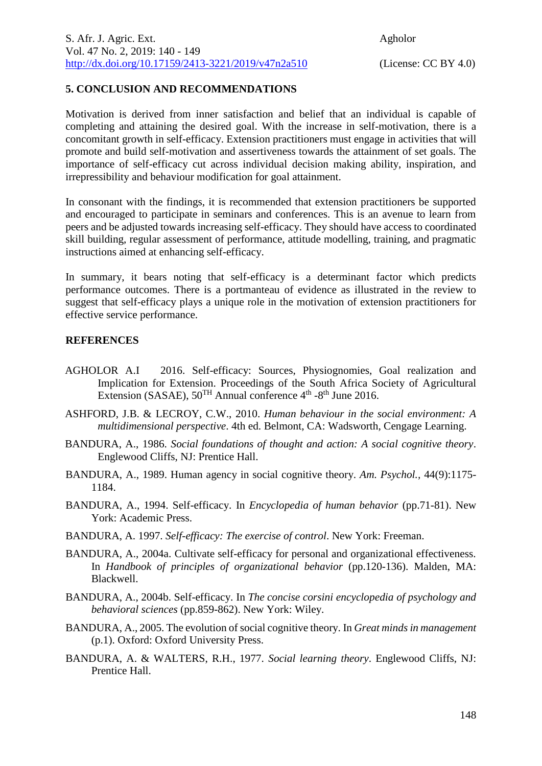# **5. CONCLUSION AND RECOMMENDATIONS**

Motivation is derived from inner satisfaction and belief that an individual is capable of completing and attaining the desired goal. With the increase in self-motivation, there is a concomitant growth in self-efficacy. Extension practitioners must engage in activities that will promote and build self-motivation and assertiveness towards the attainment of set goals. The importance of self-efficacy cut across individual decision making ability, inspiration, and irrepressibility and behaviour modification for goal attainment.

In consonant with the findings, it is recommended that extension practitioners be supported and encouraged to participate in seminars and conferences. This is an avenue to learn from peers and be adjusted towards increasing self-efficacy. They should have access to coordinated skill building, regular assessment of performance, attitude modelling, training, and pragmatic instructions aimed at enhancing self-efficacy.

In summary, it bears noting that self-efficacy is a determinant factor which predicts performance outcomes. There is a portmanteau of evidence as illustrated in the review to suggest that self-efficacy plays a unique role in the motivation of extension practitioners for effective service performance.

# **REFERENCES**

- AGHOLOR A.I2016. Self-efficacy: Sources, Physiognomies, Goal realization and Implication for Extension. Proceedings of the South Africa Society of Agricultural Extension (SASAE),  $50^{TH}$  Annual conference  $4^{th}$  -8<sup>th</sup> June 2016.
- ASHFORD, J.B. & LECROY, C.W., 2010. *Human behaviour in the social environment: A multidimensional perspective*. 4th ed. Belmont, CA: Wadsworth, Cengage Learning.
- BANDURA, A., 1986. *Social foundations of thought and action: A social cognitive theory*. Englewood Cliffs, NJ: Prentice Hall.
- BANDURA, A., 1989. Human agency in social cognitive theory. *Am. Psychol.,* 44(9):1175- 1184.
- BANDURA, A., 1994. Self-efficacy. In *Encyclopedia of human behavior* (pp.71-81). New York: Academic Press.
- BANDURA, A. 1997. *Self-efficacy: The exercise of control*. New York: Freeman.
- BANDURA, A., 2004a. Cultivate self-efficacy for personal and organizational effectiveness. In *Handbook of principles of organizational behavior* (pp.120-136). Malden, MA: Blackwell.
- BANDURA, A., 2004b. Self-efficacy. In *The concise corsini encyclopedia of psychology and behavioral sciences* (pp.859-862). New York: Wiley.
- BANDURA, A., 2005. The evolution of social cognitive theory. In *Great mindsin management* (p.1). Oxford: Oxford University Press.
- BANDURA, A. & WALTERS, R.H., 1977. *Social learning theory*. Englewood Cliffs, NJ: Prentice Hall.